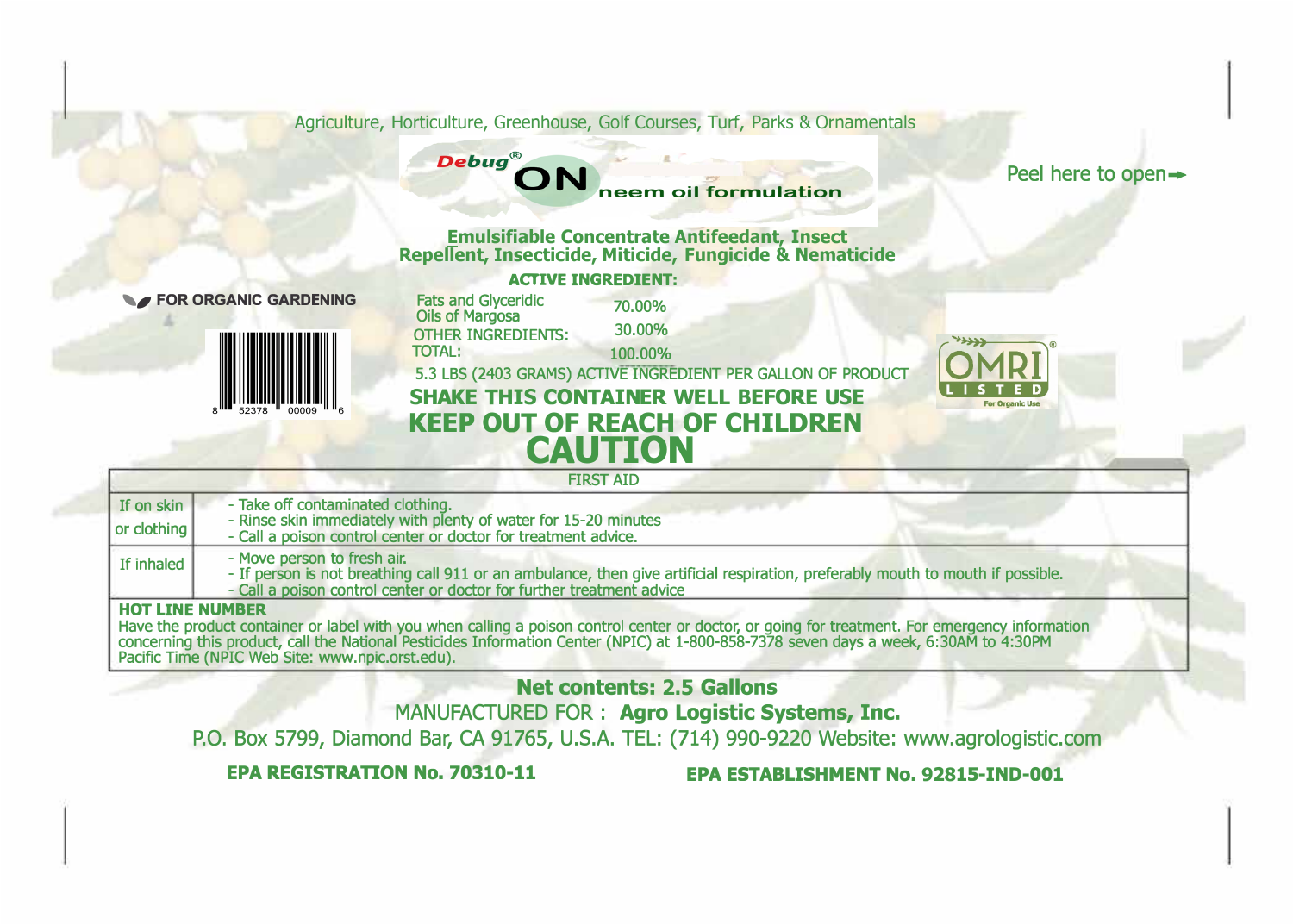Agriculture, Horticulture, Greenhouse, Golf Courses, Turf, Parks & Ornamentals

**Debug®** neem oil formulation

Peel here to open  $\rightarrow$ 

**Emulsifiable Concentrate Antifeedant, Insect Repellent, Insecticide, Miticide, Fungicide & Nematicide ACTIVE INGREDIENT:** 



**FOR ORGANIC GARDENING Fats and Glyceridic 70.00%** 30.00% Fats and Glyceridic Oils of Margosa TOTAL: OTHER INGREDIENTS: 100.00% 5.3 LBS (2403 GRAMS) ACTIVE INGREDIENT PER GALLON OF PRODUCT **SHAKE THIS CONTAINER WELL BEFORE USE KEEP OUT OF REACH OF CHILDREN CAUTION** 



|                        | <b>FIRST AID</b>                                                                                                                                                                                                                        |
|------------------------|-----------------------------------------------------------------------------------------------------------------------------------------------------------------------------------------------------------------------------------------|
| If on skin             | - Take off contaminated clothing.                                                                                                                                                                                                       |
| or clothing            | - Rinse skin immediately with plenty of water for 15-20 minutes<br>- Call a poison control center or doctor for treatment advice.                                                                                                       |
| If inhaled             | - Move person to fresh air.<br>- If person is not breathing call 911 or an ambulance, then give artificial respiration, preferably mouth to mouth if possible.<br>- Call a poison control center or doctor for further treatment advice |
| <b>HOT LINE NUMBER</b> |                                                                                                                                                                                                                                         |

Have the product container or label with you when calling a poison control center or doctor, or going for treatment. For emergency information concerning this product, call the National Pesticides Information Center (NPIC) at 1-800-858-7378 seven days a week, 6:30AM to 4:30PM Pacific Time (NPIC Web Site: www.npic.orst.edu).

**Net contents: 2.5 Gallons** 

MANUFACTURED FOR : **Agro Logistic Systems, Inc.** 

P.O. Box 5799, Diamond Bar, CA 91765, U.S.A. TEL: (714) 990-9220 Website: www.agrologistic.com

**EPA REGISTRATION No. 70310-11 EPA ESTABUSHMENT No. 92815-IND-001**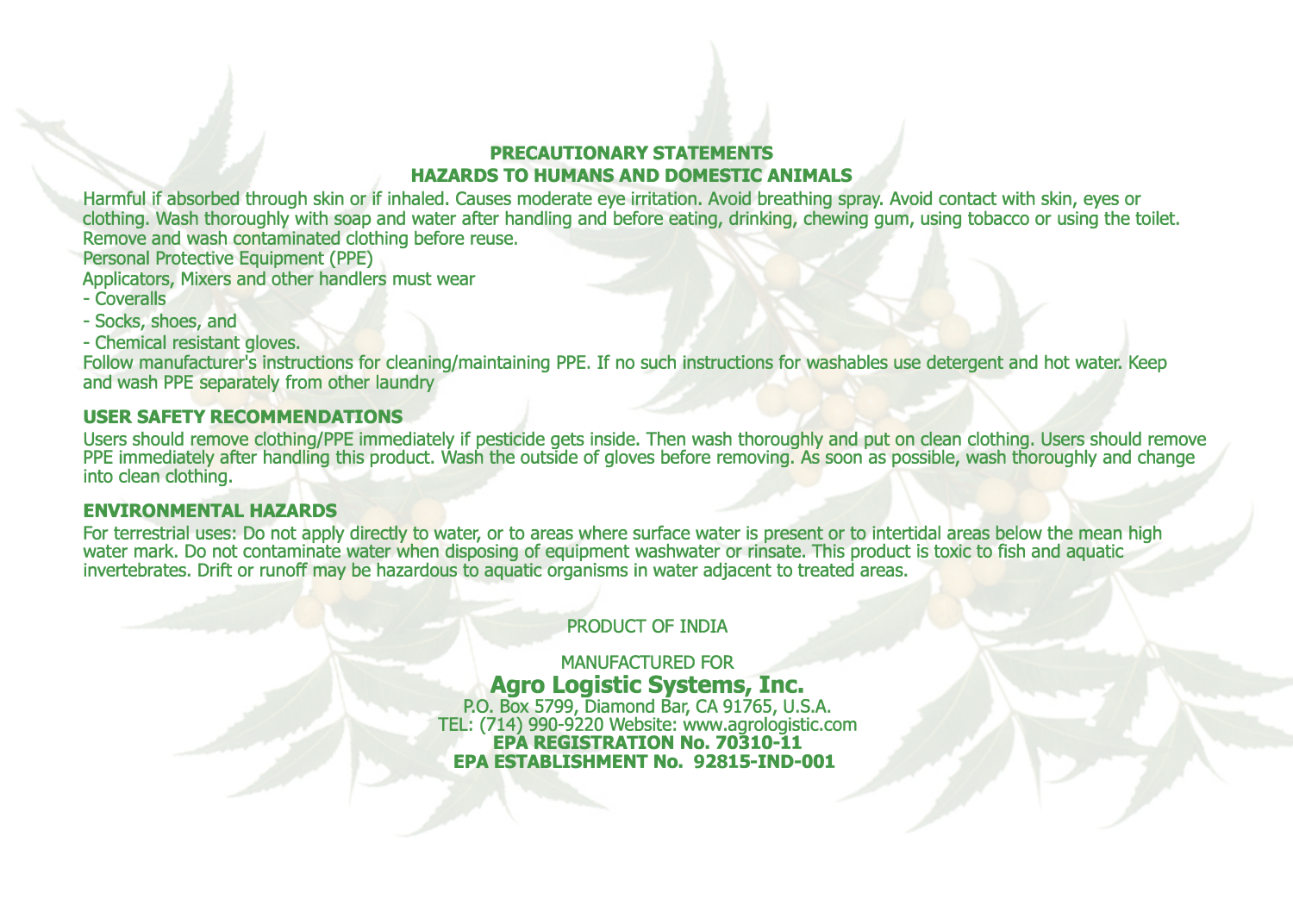## **PRECAUTIONARY STATEMENTS HAZARDS TO HUMANS AND DOMESTIC ANIMALS**

Harmful if absorbed through skin or if inhaled. Causes moderate eye irritation. Avoid breathing spray. Avoid contact with skin, eyes or clothing. Wash thoroughly with soap and water after handling and before eating, drinking, chewing gum, using tobacco or using the toilet. Remove and wash contaminated clothing before reuse.

Personal Protective Equipment (PPE)

Applicators, Mixers and other handlers must wear

- Coveralls
- Socks, shoes, and
- Chemical resistant gloves.

Follow manufacturer's instructions for cleaning/maintaining PPE. If no such instructions for washables use detergent and hot water. Keep and wash PPE separately from other laundry

## **USER SAFETY RECOMMENDATIONS**

Users should remove clothing/PPE immediately if pesticide gets inside. Then wash thoroughly and put on clean clothing. Users should remove PPE immediately after handling this product. Wash the outside of gloves before removing. As soon as possible, wash thoroughly and change into clean clothing.

### **ENVIRONMENTAL HAZARDS**

For terrestrial uses: Do not apply directly to water, or to areas where surface water is present or to intertidal areas below the mean high water mark. Do not contaminate water when disposing of equipment washwater or rinsate. This product is toxic to fish and aquatic invertebrates. Drift or runoff may be hazardous to aquatic organisms in water adjacent to treated areas.

## PRODUCT OF INDIA

MANUFACTURED FOR **Agro Logistic Systems, Inc.**  P.O. Box 5799, Diamond Bar, CA 91765, U.S.A. TEL: (714) 990-9220 Website: www.agrologistic.com **EPA REGISTRATION No. 70310-11 EPA ESTABUSHMENT No. 92815-IND-001**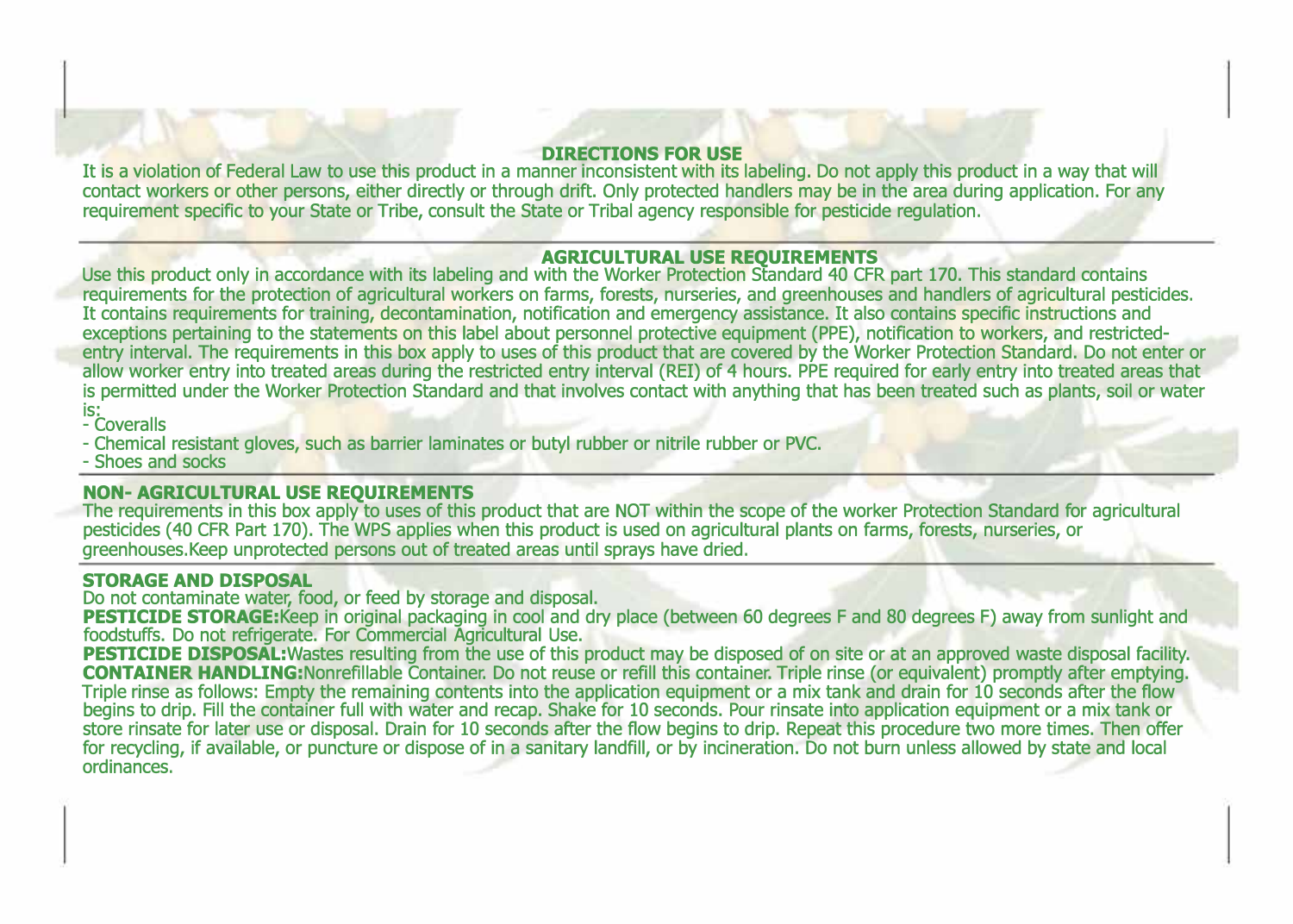#### **DIRECTIONS FOR USE**

It is a violation of Federal Law to use this product in a manner inconsistent with its labeling. Do not apply this product in a way that will contact workers or other persons, either directly or through drift. Only protected handlers may be in the area during application. For any requirement specific to your State or Tribe, consult the State or Tribal agency responsible for pesticide regulation.

### **AGRICULTURAL USE REQUIREMENTS**

Use this product only in accordance with its labeling and with the Worker Protection Standard 40 CFR part 170. This standard contains requirements for the protection of agricultural workers on farms, forests, nurseries, and greenhouses and handlers of agricultural pesticides. It contains requirements for training, decontamination, notification and emergency assistance. It also contains specific instructions and exceptions pertaining to the statements on this label about personnel protective equipment (PPE), notification to workers, and restrictedentry interval. The requirements in this box apply to uses of this product that are covered by the Worker Protection Standard. Do not enter or allow worker entry into treated areas during the restricted entry interval (REI) of 4 hours. PPE required for early entry into treated areas that is permitted under the Worker Protection Standard and that involves contact with anything that has been treated such as plants, soil or water is:<br>- Coveralls

- Chemical resistant gloves, such as barrier laminates or butyl rubber or nitrile rubber or PVC.

- Shoes and socks

### **NON-AGRICULTURAL USE REQUIREMENTS**

The requirements in this box apply to uses of this product that are NOT within the scope of the worker Protection Standard for agricultural pesticides ( 40 CFR Part 170). The WPS applies when this product is used on agricultural plants on farms, forests, nurseries, or greenhouses.Keep unprotected persons out of treated areas until sprays have dried.

#### **STORAGE AND DISPOSAL**

Do not contaminate water, food, or feed by storage and disposal.

**PESTICIDE STORAGE:**Keep in original packaging in cool and dry place (between 60 degrees F and 80 degrees F) away from sunlight and foodstuffs. Do not refrigerate. For Commercial Agricultural Use.

**PESTICIDE DISPOSAL:Wastes** resulting from the use of this product may be disposed of on site or at an approved waste disposal facility. **CONTAINER HANDUNG:Nonrefillable** Container. Do not reuse or refill this container. Triple rinse (or equivalent) promptly after emptying. Triple rinse as follows: Empty the remaining contents into the application equipment or a mix tank and drain for 10 seconds after the flow begins to drip. Fill the container full with water and recap. Shake for 10 seconds. Pour rinsate into application equipment or a mix tank or store rinsate for later use or disposal. Drain for 10 seconds after the flow begins to drip. Repeat this procedure two more times. Then offer for recycling, if available, or puncture or dispose of in a sanitary landfill, or by incineration. Do not burn unless allowed by state and local ordinances.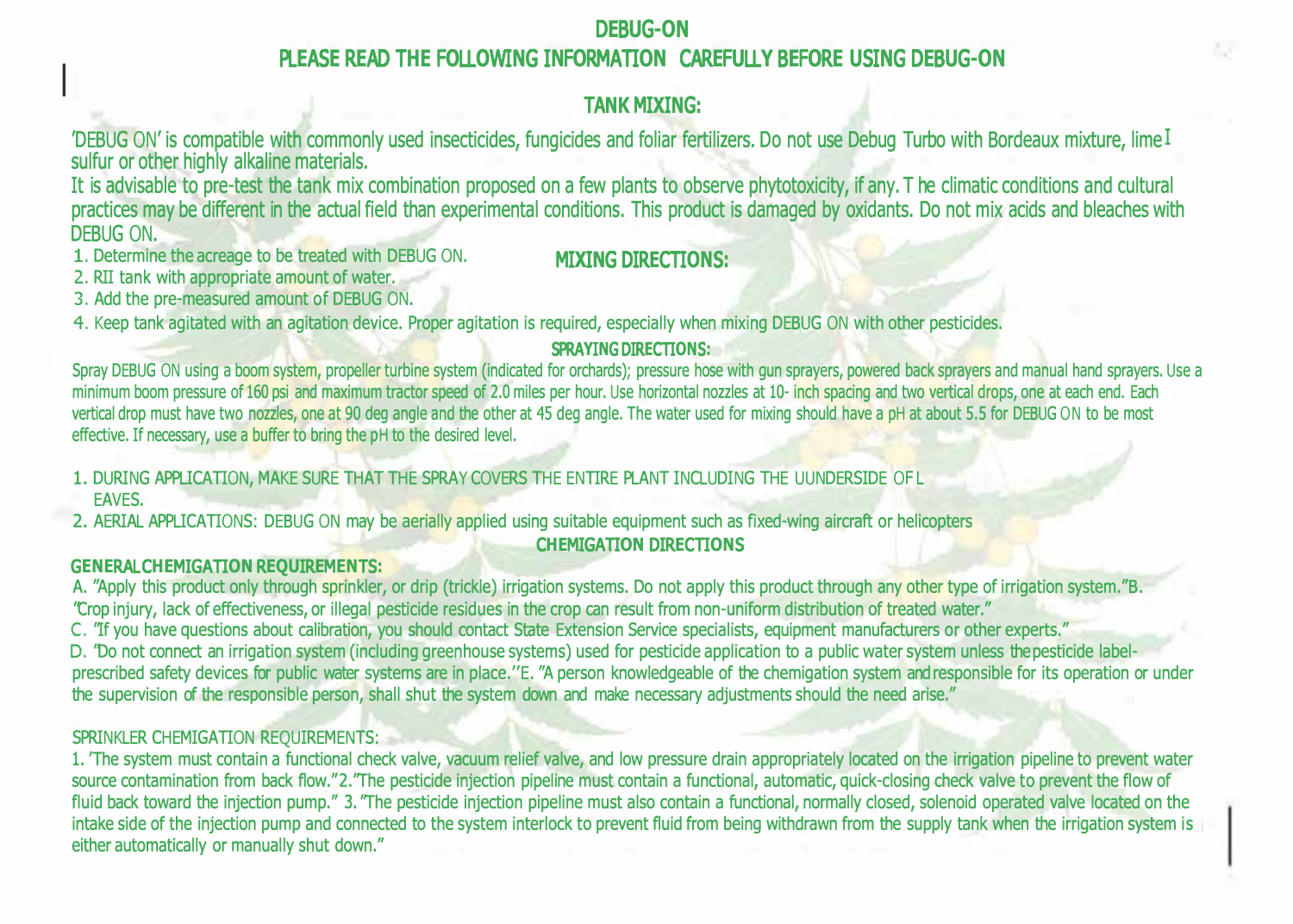# D**E**B**U**G**-ON** PL**E**AS**E** R**E**AD T**HE** F**O**LL**O**WI**N**G I**N**F**O**RMATI**ON** CAR**E**F**U**LL**Y** B**E**F**O**R**E U**SI**N**G D**E**B**U**G**-ON**

# TA**NK** MI**X**I**N**G**:**

'DEBUG ON' is compatible with commonly used insecticides, fungicides and foliar fertilizers. Do not use Debug Turbo with Bordeaux mixture, lime I sulfur or other highly alkaline materials.

It is advisable to pre-test the tank mix combination proposed on a few plants to observe phytotoxicity, if any. T he climatic conditions and cultural practices may be different in the actual field than experimental conditions. This product is damaged by oxidants. Do not mix acids and bleaches with DEBUG ON.

1. Determine the acreage to be treated with DEBUG ON. **MIXING DIRECTIONS:** 

2. RII tank with appropriate amount of water.

3. Add the pre-measured amount of DEBUG ON.

4. Keep tank agitated with an agitation device. Proper agitation is required, especially when mixing DEBUG ON with other pesticides.

# SPRA**Y**I**N**G DIR**E**CTI**ON**S**:**

Spray DEBUG ON using a boom system, propeller turbine system (indicated for orchards); pressure hose with gun sprayers, powered back sprayers and manual hand sprayers. Use a minimum boom pressure of 160 psi and maximum tractor speed of 2.0 miles per hour. Use horizontal nozzles at 10- inch spacing and two vertical drops, one at each end. Each vertical drop must have two nozzles, one at 90 deg angle and the other at 45 deg angle. The water used for mixing should have a pH at about 5.5 for DEBUG ON to be most effective. If necessary, use a buffer to bring the pH to the desired level.

1. DURING APPLICATION, MAKE SURE THAT THE SPRAY COVERS THE ENTIRE PLANT INCLUDING THE UUNDERSIDE OF L

EAVES.

I

2. AERIAL APPLICATIONS: DEBUG ON may be aerially applied using suitable equipment such as fixed-wing aircraft or helicopters

# C**HE**MIGATI**ON** DIR**E**CTI**ON**S

## G**ENE**RAL C**HE**MIGATI**ON** R**EQU**IR**E**M**EN**TS**:**

A. "Apply this product only through sprinkler, or drip (trickle) irrigation systems. Do not apply this product through any other type of irrigation system." B. "Crop injury, lack of effectiveness, or illegal pesticide residues in the crop can result from non-uniform distribution of treated water."

C. "If you have questions about calibration, you should contact State Extension Service specialists, equipment manufacturers or other experts."

D. "Do not connect an irrigation system (including greenhouse systems) used for pesticide application to a public water system unless thepesticide labelprescribed safety devices for public water systems are in place.''E. "A person knowledgeable of the chemigation system andresponsible for its operation or under the supervision of the responsible person, shall shut the system down and make necessary adjustments should the need arise."

# SPRINKLER CHEMIGATION REQUIREMENTS:

1. 'The system must contain a functional check valve, vacuum relief valve, and low pressure drain appropriately located on the irrigation pipeline to prevent water source contamination from back flow."2."The pesticide injection pipeline must contain a functional, automatic, quick-closing check valve to prevent the flow of fluid back toward the injection pump." 3. "The pesticide injection pipeline must also contain a functional, normally closed, solenoid operated valve located on the intake side of the injection pump and connected to the system interlock to prevent fluid from being withdrawn from the supply tank when the irrigation system is either automatically or manually shut down."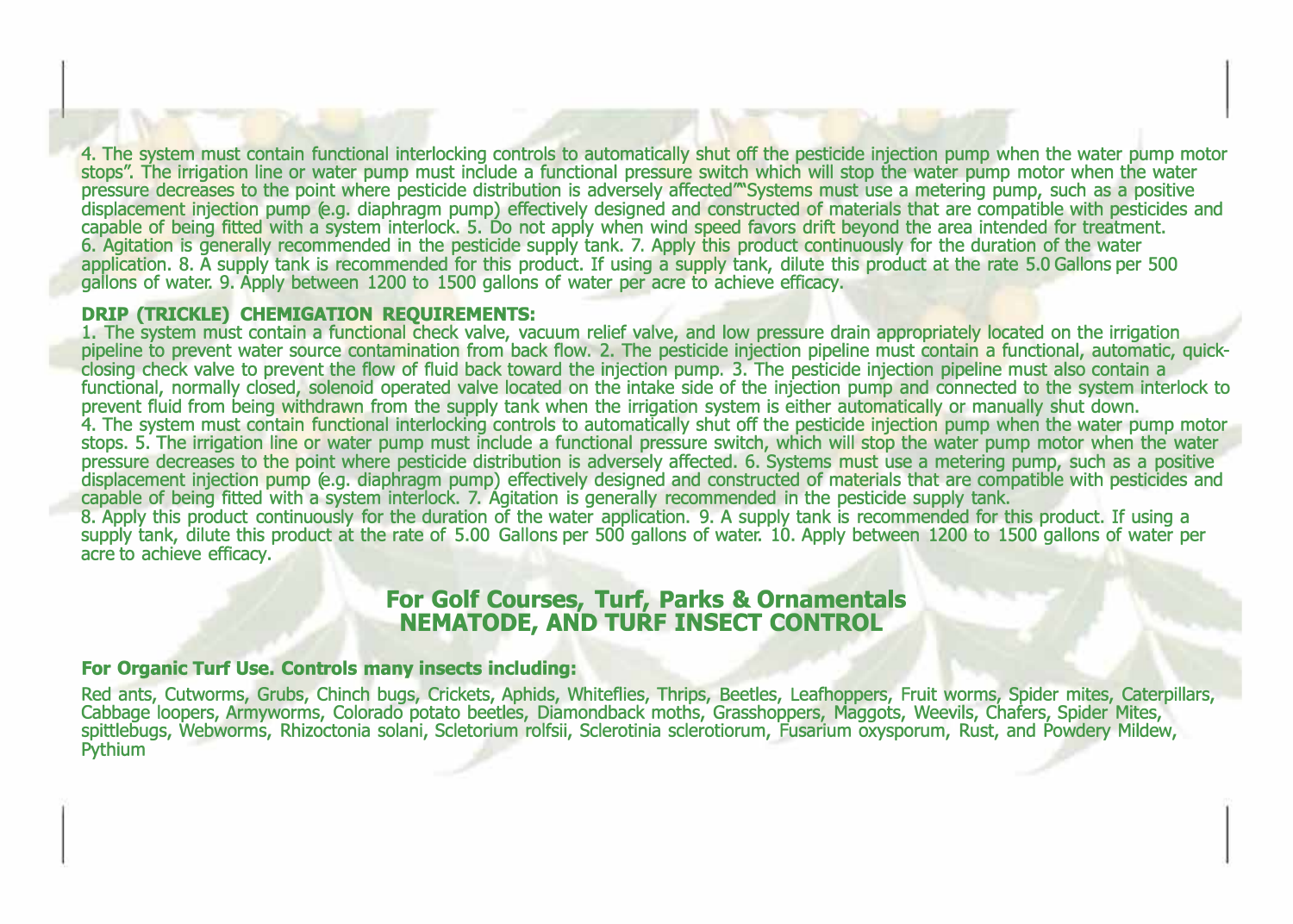4. The system must contain functional interlocking controls to automatically shut *off* the pesticide injection pump when the water pump motor stops". The irrigation line or water pump must include a functional pressure switch which will stop the water pump motor when the water pressure decreases to the point where pesticide distribution is adversely affected'"Systems must use a metering pump, such as a positive displacement injection pump (e.g. diaphragm pump) effectively designed and constructed of materials that are compatible with pesticides and capable of being fitted with a system interlock. 5. Do not apply when wind speed favors drift beyond the area intended for treatment. 6. Agitation is generally recommended in the pesticide supply tank. 7. Apply this product continuously for the duration of the water application. 8. A supply tank is recommended for this product. If using a supply tank, dilute this product at the rate 5.0 Gallons per 500 gallons of water. 9. Apply between 1200 to 1500 gallons of water per acre to achieve efficacy.

#### **DRIP (TRICKLE) CHEMIGATION REQUIREMENTS:**

1. The system must contain a functional check valve, vacuum relief valve, and low pressure drain appropriately located on the irrigation pipeline to prevent water source contamination from back flow. 2. The pesticide injection pipeline must contain a functional, automatic, quickclosing check valve to prevent the flow of fluid back toward the injection pump. 3. The pesticide injection pipeline must also contain a functional, normally closed, solenoid operated valve located on the intake side of the injection pump and connected to the system interlock to prevent fluid from being withdrawn from the supply tank when the irrigation system is either automatically or manually shut down. 4. The system must contain functional interlocking controls to automatically shut *off* the pesticide injection pump when the water pump motor stops. 5. The irrigation line or water pump must include a functional pressure switch, which will stop the water pump motor when the water pressure decreases to the point where pesticide distribution is adversely affected. 6. Systems must use a metering pump, such as a positive displacement injection pump (e.g. diaphragm pump) effectively designed and constructed of materials that are compatible with pesticides and capable of being fitted with a system interlock. 7. Agitation is generally recommended in the pesticide supply tank. 8. Apply this product continuously for the duration of the water application. 9. A supply tank is recommended for this product. If using a supply tank, dilute this product at the rate of 5.00 Gallons per 500 gallons of water. 10. Apply between 1200 to 1500 gallons of water per

# **For Golf Courses, Turf, Parks & Ornamentals NEMATODE, AND TURF INSECT CONTROL**

### **For Organic Turf Use. Controls many insects including:**

acre to achieve efficacy.

Red ants, Cutworms, Grubs, Chinch bugs, Crickets, Aphids, Whiteflies, Thrips, Beetles, Leafhoppers, Fruit worms, Spider mites, Caterpillars, cabbage loopers, Armyworms, Colorado potato beetles, Diamondback moths, Grasshoppers, Maggots, Weevils, Chafers, Spider Mites, spittlebugs, Webworms, Rhizoctonia solani, Scletorium rolfsii, Sclerotinia sclerotiorum, Fusarium oxysporum, Rust, and Powdery Mildew, **Pythium**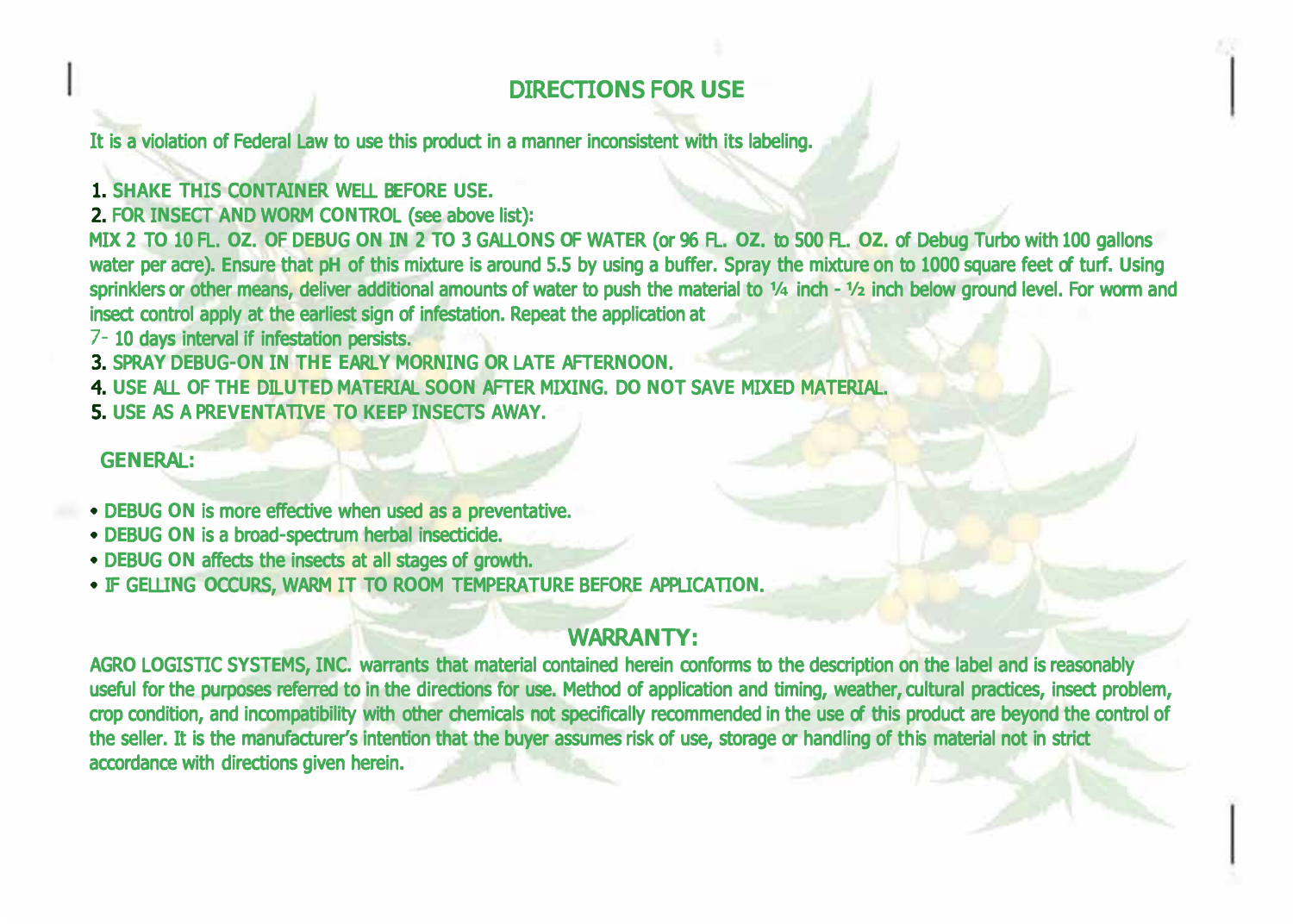# DIR**E**CTI**ON**S F**O**R **U**S**E**

It is a violation of Federal Law to use this product in a manner inconsistent with its labeling.

1. S**H**A**KE** T**H**IS C**ON**TAI**NE**R W**E**LL B**E**F**O**R**E U**S**E**.

2. F**O**R I**N**S**E**CT A**N**D W**O**RM C**ON**TR**O**L (see above list)**:**

MI**X** 2 T**O** 10 FL. **OZ**. **O**F D**E**B**U**G **ON** I**N** 2 T**O** 3 GALL**ON**S **O**F WAT**E**R (or 96 FL. **OZ**. to 500 FL. **OZ**. of Debug Turbo with 100 gallons water per acre). **E**nsure that p**H** of this mixture is around 5.5 by using a buffer. Spray the mixture on to 1000 square feet of turf. **U**sing sprinklers or other means, deliver additional amounts of water to push the material to **¼** inch **- ½** inch below ground level. For worm and insect control apply at the earliest sign of infestation. Repeat the application at

7- 10 days interval if infestation persists.

3. SPRA**Y** D**E**B**U**G**-ON** I**N** T**HE E**ARL**Y** M**O**R**N**I**N**G **O**R LAT**E** AFT**E**R**NOON**.

4. **U**S**E** ALL **O**F T**HE** DIL**U**T**E**D MAT**E**RIAL S**OON** AFT**E**R MI**X**I**N**G. D**O NO**T SA**VE** MI**XE**D MAT**E**RIAL.

5. **U**S**E** AS A PR**EVEN**TATI**VE** T**O KEE**P I**N**S**E**CTS AWA**Y**.

G**ENE**RAL**:**

- D**E**B**U**G **ON** is more effective when used as a preventative.
- D**E**B**U**G **ON** is a broad**-**spectrum herbal insecticide.
- D**E**B**U**G **ON** affects the insects at all stages of growth.
- IF G**E**LLI**N**G **O**CC**U**RS, WARM IT T**O** R**OO**M T**E**MP**E**RAT**U**R**E** B**E**F**O**R**E** APPLICATI**ON**.

# WARRA**N**T**Y:**

AGR**O** L**O**GISTIC S**Y**ST**E**MS, I**N**C. warrants that material contained herein conforms to the description on the label and is reasonably useful for the purposes referred to in the directions for use. Method of application and timing, weather, cultural practices, insect problem, crop condition, and incompatibility with other chemicals not specifically recommended in the use of this product are beyond the control of the seller. It is the manufacturer's intention that the buyer assumes risk of use, storage or handling of this material not in strict accordance with directions given herein.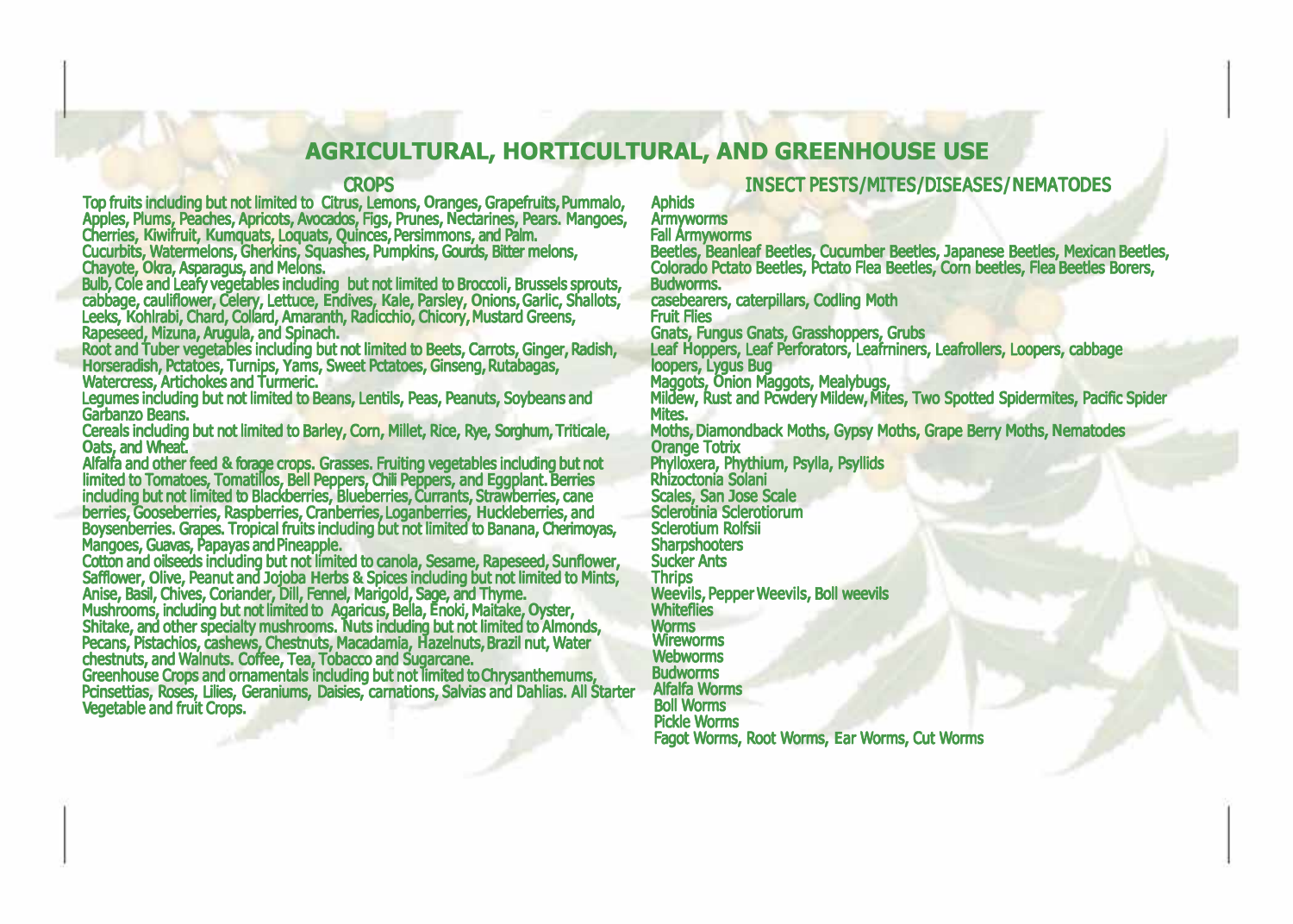# **AGRICULTURAL, HORTICULTURAL, AND GREENHOUSE USE**

## CR**O**PS

Top fruits including but not limited to Citrus, Lemons, **O**ranges, Grapefruits, Pummalo, Apples, Plums, Peaches, Apricots, Avocados, Figs, Prunes, Nectarines, Pears. Mangoes,<br>Cherries, Kiwifruit, Kumquats, Loquats, Quinces, Persimmons, and Paim.<br>Cucurbits, Watermelons, Gherkins, Squashes, Pumpkins, Gourds, Bit

Chayote, **O**kra, Asparagus, and Melons.

Buib, Cole and Leafy vegetables including but not limited to Broccoli, Brussels sprouts,<br>cabbage, cauliflower, Celery, Lettuce, Endives, Kale, Parsley, Onions, Garlic, Shallots,<br>Leeks, Kohlrabi, Chard, Collard, Amaranth, R

Legumes including but not limited to Beans, Lentils, Peas, Peanuts, Soybeans and Garbanzo Beans.

Cereals including but not limited to Barley, Corn, Millet, Rice, Rye, Sorghum, Triticale,

Oats, and Wheat.<br>Antifaction of Monter feed & forage crops. Grasses. Fruiting vegetables including but not<br>Alfalfra and other feed & forage crops. Grasses. Fruiting vegetables including but not<br>Imited to Tomatoes, Tomatill

# I**N**S**E**CT P**E**STS**/**MIT**E**S**/**DIS**E**AS**E**S**/NE**MAT**O**D**E**S

# Aphids

Armyworms<br>Fall Armyworms<br>Beetles, Beanleaf Beetles, Cucumber Beetles, Japanese Beetles, Mexican Beetles,<br>Colorado Pctato Beetles, Pctato Flea Beetles, Corn beetles, Flea Beetles Borers, Budworms.

casebearers, caterpillars, Codling Moth

Fruit Flies

Gnats, Fungus Gnats, Grasshoppers, Grubs<br>Leaf Hoppers, Leaf Perforators, Leafminers, Leafrollers, Loopers, cabbage<br>Ioopers, Lygus Bug<br>Maggots, Onion Maggots, Mealybugs,<br>Mites.<br>Mites.

Moths, Diamondback Moths, Gypsy Moths, Grape Berry Moths, **N**ematodes **O**range Totrix

Phylloxera, Phythium, Psylla, Psyllids Rhizoctonia Solani

Scales, San Jose Scale<br>Sclerotinia Sclerotiorum<br>Sclerotium Rolfsii<br>Sharpshooters<br>Sucker Ants

**Thrips** 

Weevils, Pepper Weevils, Boll weevils Whiteflies

Worms

Wireworms Webworms Budworms

Alfalfa Worms Boll Worms

Pickle Worms

Fagot Worms, Root Worms, **E**ar Worms, Cut Worms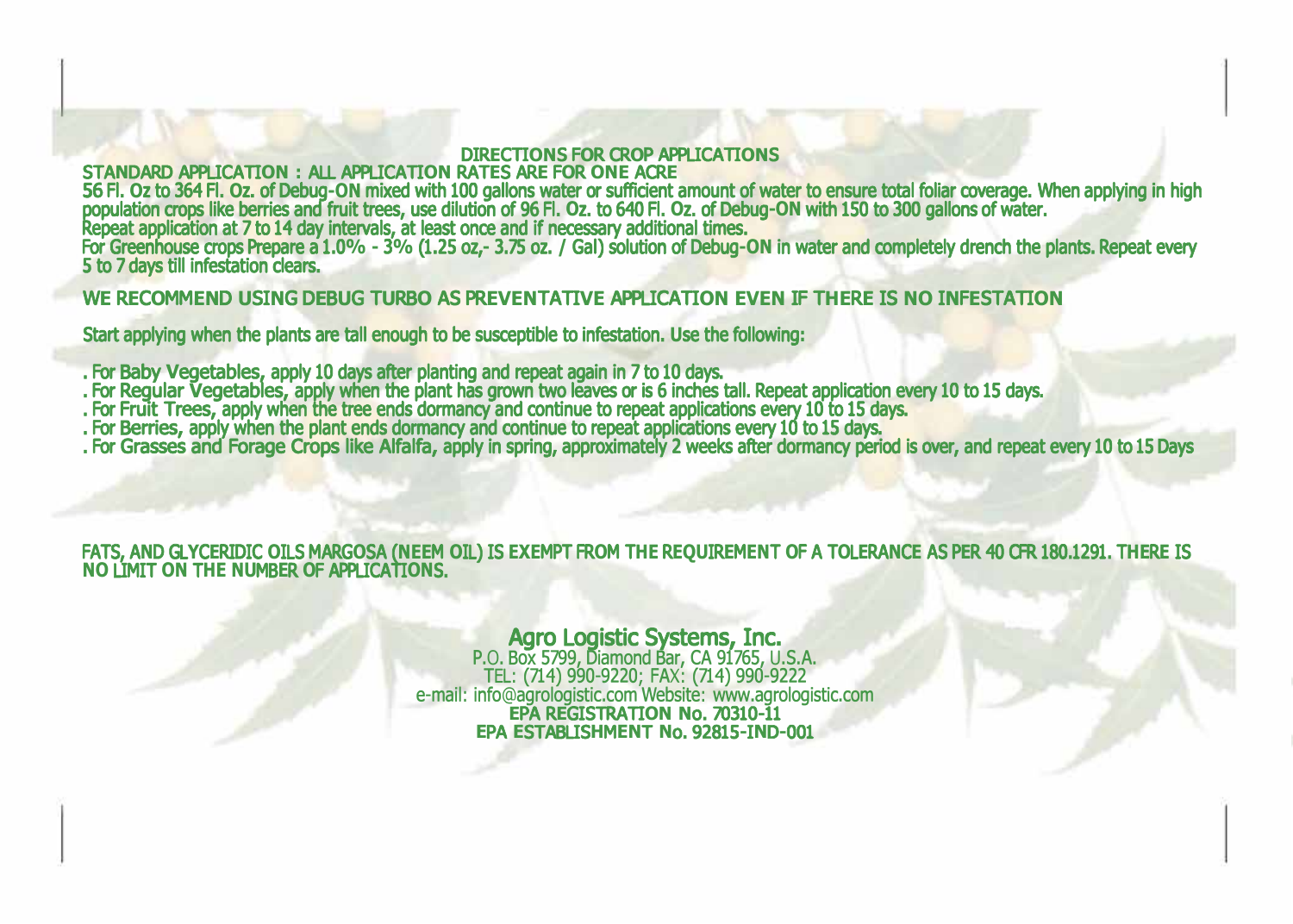## DIR**E**CTI**ON**S F**O**R CR**O**P APPLICATI**ON**S

## STA**N**DARD APPLICATI**ON :** ALL APPLICATI**ON** RAT**E**S AR**E** F**O**R **ONE** ACR**E**

56 Fl. **O**z to 364 Fl. **O**z. of Debug**-ON** mixed with 100 gallons water or sufficient amount of water to ensure total foliar coverage. When applying in high population crops like berries and fruit trees, use dilution of 96 Fl. **O**z. to 640 Fl. **O**z. of Debug**-ON** with 150 to 300 gallons of water. application at 7 to 14 day intervals, at least once and if necessary additional times. For Greenhouse crops Prepare a 1.0**% -** 3**%** (1.25 oz,**-** 3.75 oz. **/** Gal) solution of Debug**-ON** in water and completely drench the plants. Repeat every 5 to 7 days till infestation clears.

WE RECOMMEND USING DEBUG TURBO AS PREVENTATIVE APPLICATION EVEN IF THERE IS NO INFESTATION

Start applying when the plants are tall enough to be susceptible to infestation. **U**se the following**:**

- 
- . For Baby Vegetables, apply 10 days after planting and repeat again in 7 to 10 days.<br>. For Regular Vegetables, apply when the plant has grown two leaves or is 6 inches tall. Repeat application every 10 to 15 days.<br>. For F
- 
- 
- . For Grasses and Forage Crops like Alfalfa, apply in spring, approximately 2 weeks after dormancy period is over, and repeat every 10 to 15 Days

## FATS, AND GLYCERIDIC OILS MARGOSA (NEEM OIL) IS EXEMPT FROM THE REQUIREMENT OF A TOLERANCE AS PER 40 CFR 180.1291. THERE IS **NO** LIMIT **ON** T**HE NU**MB**E**R **O**F APPLICATI**ON**S.

# Agro Logistic Systems, Inc.

P.O. Box 5799, Diamond Bar, CA 91765, U.S.A. TEL: (714) 990-9220; FAX: (714) 990-9222 e-mail: info@agrologistic.com Website: www.agrologistic.com **E**PA R**E**GISTRATI**ON N**o. 70310**-**11 **E**PA **E**STABLIS**H**M**EN**T **N**o. 92815**-**I**N**D**-**001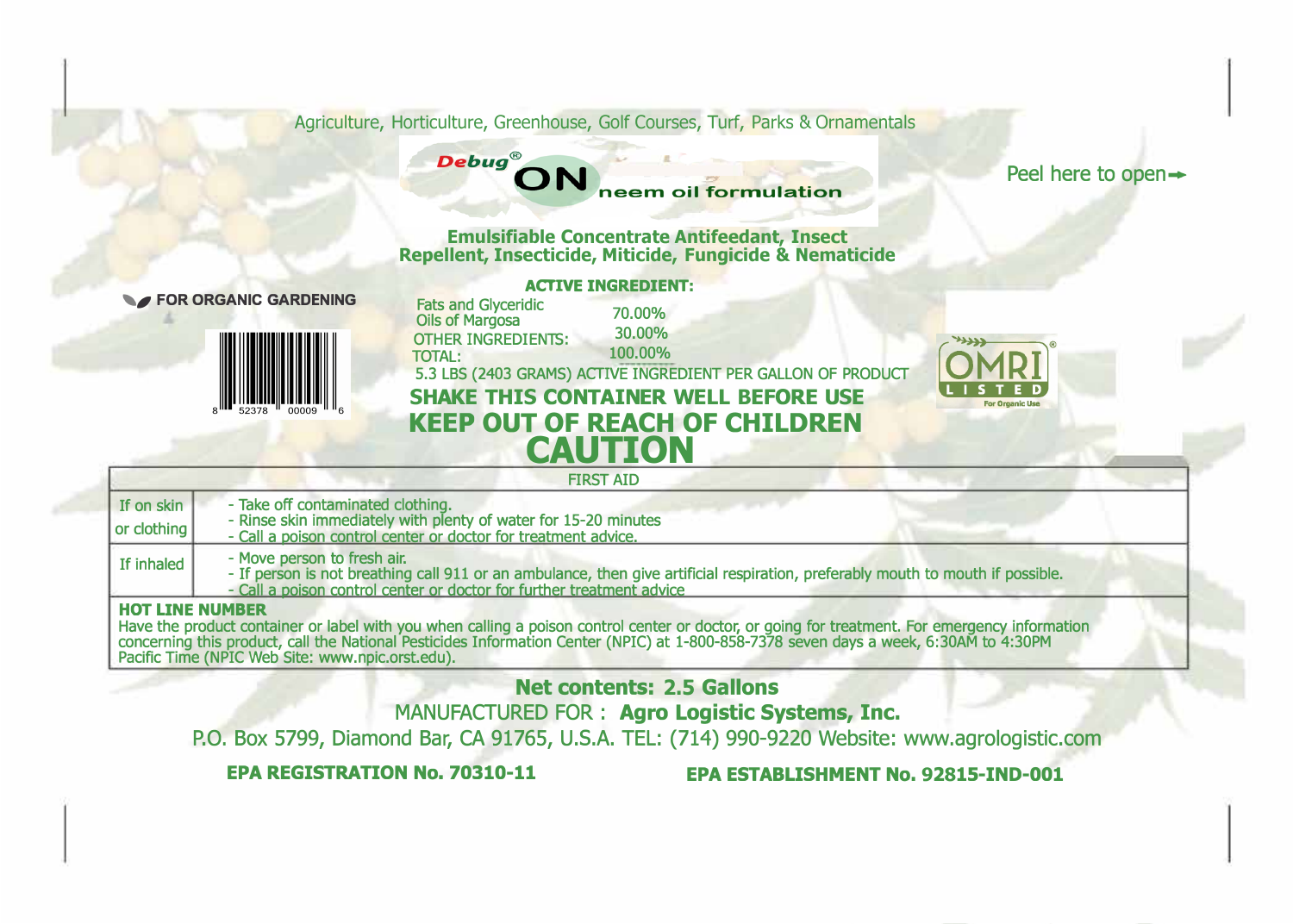Agriculture, Horticulture, Greenhouse, Golf Courses, Turf, Parks & Ornamentals

# **Debug®** neem oil formulation

Peel here to open  $\rightarrow$ 

**Emulsifiable Concentrate Antifeedant, Insect Repellent, Insecticide, Miticide, Fungicide & Nematicide** 



|                                                                                      | <b>ACTIVE INGREDIENT:</b>                                                                             |
|--------------------------------------------------------------------------------------|-------------------------------------------------------------------------------------------------------|
| Fats and Glyceridic<br>Oils of Margosa<br><b>OTHER INGREDIENTS:</b><br><b>TOTAL:</b> | 70,00%<br>30.00%<br>100.00%<br>5.3 LBS (2403 GRAMS) ACTIVE INGREDIENT PER GALLON OF PRODUCT           |
|                                                                                      | <b>SHAKE THIS CONTAINER WELL BEFORE USE</b><br><b>KEEP OUT OF REACH OF CHILDREN</b><br><b>CAUTION</b> |



|                             | <b>FIRST AID</b>                                                                                                                                                                                                                        |  |
|-----------------------------|-----------------------------------------------------------------------------------------------------------------------------------------------------------------------------------------------------------------------------------------|--|
| If on skin<br>l or clothing | - Take off contaminated clothing.<br>- Rinse skin immediately with plenty of water for 15-20 minutes<br>- Call a poison control center or doctor for treatment advice.                                                                  |  |
| I If inhaled                | - Move person to fresh air.<br>- If person is not breathing call 911 or an ambulance, then give artificial respiration, preferably mouth to mouth if possible.<br>- Call a poison control center or doctor for further treatment advice |  |
| <b>HOT LINE NUMBER</b>      |                                                                                                                                                                                                                                         |  |

**HOT LINE NUMBER**<br>Have the product container or label with you when calling a poison control center or doctor, or going for treatment. For emergency information<br>concerning this product, call the National Pesticides Informa Pacific Time (NPIC Web Site: www.npic.orst.edu).

**Net contents: 2.5 Gallons**

MANUFACTURED FOR : **Agro Logistic Systems, Inc.** 

P.O. Box 5799, Diamond Bar, CA 91765, U.S.A. TEL: (714) 990-9220 Website: www.agrologistic.com

**EPA REGISTRATION No. 70310-11 EPA ESTABUSHMENT No. 92815-IND-001**